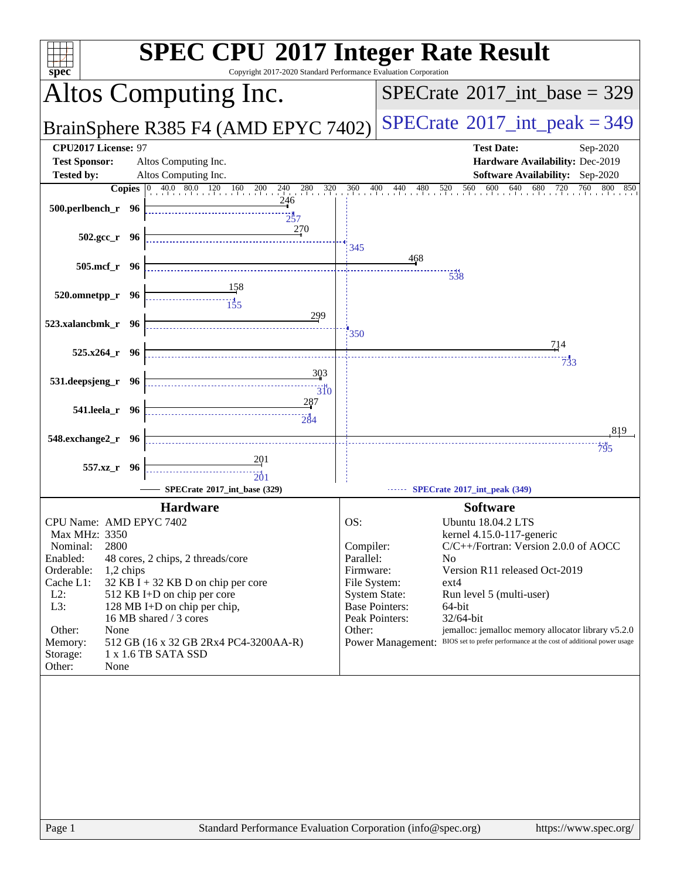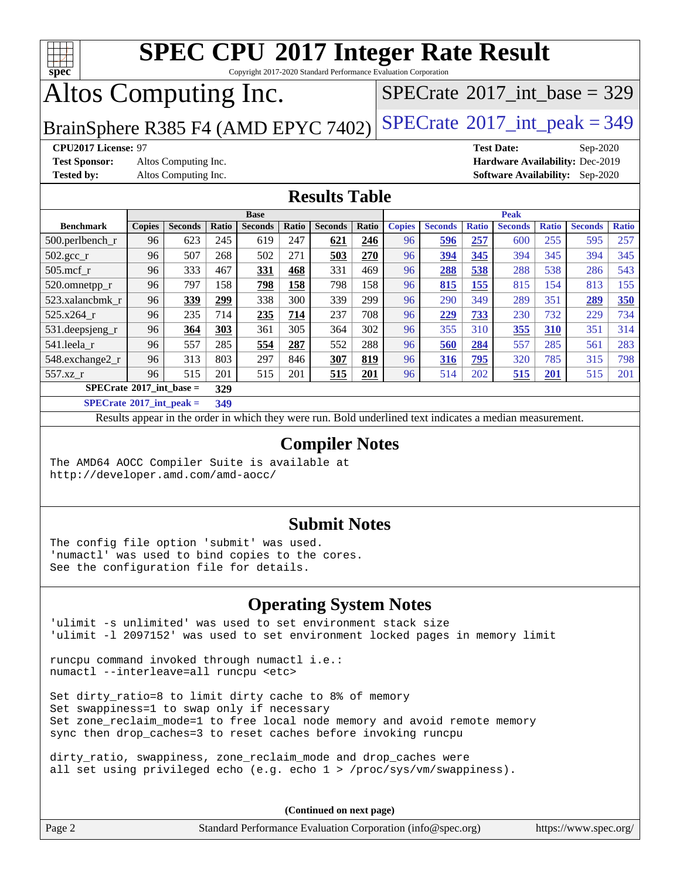

Copyright 2017-2020 Standard Performance Evaluation Corporation

## Altos Computing Inc.

 $SPECTate@2017_int\_base = 329$ 

BrainSphere R385 F4 (AMD EPYC 7402) [SPECrate](http://www.spec.org/auto/cpu2017/Docs/result-fields.html#SPECrate2017intpeak)<sup>®</sup>[2017\\_int\\_peak = 3](http://www.spec.org/auto/cpu2017/Docs/result-fields.html#SPECrate2017intpeak)49

**[Test Sponsor:](http://www.spec.org/auto/cpu2017/Docs/result-fields.html#TestSponsor)** Altos Computing Inc. **[Hardware Availability:](http://www.spec.org/auto/cpu2017/Docs/result-fields.html#HardwareAvailability)** Dec-2019

**[CPU2017 License:](http://www.spec.org/auto/cpu2017/Docs/result-fields.html#CPU2017License)** 97 **[Test Date:](http://www.spec.org/auto/cpu2017/Docs/result-fields.html#TestDate)** Sep-2020 **[Tested by:](http://www.spec.org/auto/cpu2017/Docs/result-fields.html#Testedby)** Altos Computing Inc. **[Software Availability:](http://www.spec.org/auto/cpu2017/Docs/result-fields.html#SoftwareAvailability)** Sep-2020

### **[Results Table](http://www.spec.org/auto/cpu2017/Docs/result-fields.html#ResultsTable)**

|                                   | <b>Base</b>   |                |       |                | <b>Peak</b> |                |       |               |                |              |                |              |                |              |
|-----------------------------------|---------------|----------------|-------|----------------|-------------|----------------|-------|---------------|----------------|--------------|----------------|--------------|----------------|--------------|
| <b>Benchmark</b>                  | <b>Copies</b> | <b>Seconds</b> | Ratio | <b>Seconds</b> | Ratio       | <b>Seconds</b> | Ratio | <b>Copies</b> | <b>Seconds</b> | <b>Ratio</b> | <b>Seconds</b> | <b>Ratio</b> | <b>Seconds</b> | <b>Ratio</b> |
| 500.perlbench_r                   | 96            | 623            | 245   | 619            | 247         | 621            | 246   | 96            | 596            | 257          | 600            | 255          | 595            | 257          |
| $502.\text{gcc\_r}$               | 96            | 507            | 268   | 502            | 271         | 503            | 270   | 96            | 394            | 345          | 394            | 345          | 394            | 345          |
| $505$ .mcf r                      | 96            | 333            | 467   | 331            | 468         | 331            | 469   | 96            | 288            | 538          | 288            | 538          | 286            | 543          |
| 520.omnetpp_r                     | 96            | 797            | 158   | 798            | 158         | 798            | 158   | 96            | 815            | 155          | 815            | 154          | 813            | 155          |
| 523.xalancbmk r                   | 96            | 339            | 299   | 338            | 300         | 339            | 299   | 96            | 290            | 349          | 289            | 351          | 289            | 350          |
| 525.x264 r                        | 96            | 235            | 714   | 235            | 714         | 237            | 708   | 96            | 229            | 733          | 230            | 732          | 229            | 734          |
| 531.deepsjeng_r                   | 96            | 364            | 303   | 361            | 305         | 364            | 302   | 96            | 355            | 310          | 355            | 310          | 351            | 314          |
| 541.leela r                       | 96            | 557            | 285   | 554            | 287         | 552            | 288   | 96            | 560            | 284          | 557            | 285          | 561            | 283          |
| 548.exchange2_r                   | 96            | 313            | 803   | 297            | 846         | 307            | 819   | 96            | 316            | 795          | 320            | 785          | 315            | 798          |
| 557.xz r                          | 96            | 515            | 201   | 515            | 201         | 515            | 201   | 96            | 514            | 202          | 515            | 201          | 515            | 201          |
| $SPECrate^{\circ}2017$ int base = |               |                | 329   |                |             |                |       |               |                |              |                |              |                |              |
| _____                             |               |                |       |                |             |                |       |               |                |              |                |              |                |              |

**[SPECrate](http://www.spec.org/auto/cpu2017/Docs/result-fields.html#SPECrate2017intpeak)[2017\\_int\\_peak =](http://www.spec.org/auto/cpu2017/Docs/result-fields.html#SPECrate2017intpeak) 349**

Results appear in the [order in which they were run](http://www.spec.org/auto/cpu2017/Docs/result-fields.html#RunOrder). Bold underlined text [indicates a median measurement](http://www.spec.org/auto/cpu2017/Docs/result-fields.html#Median).

### **[Compiler Notes](http://www.spec.org/auto/cpu2017/Docs/result-fields.html#CompilerNotes)**

The AMD64 AOCC Compiler Suite is available at <http://developer.amd.com/amd-aocc/>

### **[Submit Notes](http://www.spec.org/auto/cpu2017/Docs/result-fields.html#SubmitNotes)**

The config file option 'submit' was used. 'numactl' was used to bind copies to the cores. See the configuration file for details.

### **[Operating System Notes](http://www.spec.org/auto/cpu2017/Docs/result-fields.html#OperatingSystemNotes)**

'ulimit -s unlimited' was used to set environment stack size 'ulimit -l 2097152' was used to set environment locked pages in memory limit

runcpu command invoked through numactl i.e.: numactl --interleave=all runcpu <etc>

Set dirty\_ratio=8 to limit dirty cache to 8% of memory Set swappiness=1 to swap only if necessary Set zone\_reclaim\_mode=1 to free local node memory and avoid remote memory sync then drop\_caches=3 to reset caches before invoking runcpu

dirty\_ratio, swappiness, zone\_reclaim\_mode and drop\_caches were all set using privileged echo (e.g. echo 1 > /proc/sys/vm/swappiness).

**(Continued on next page)**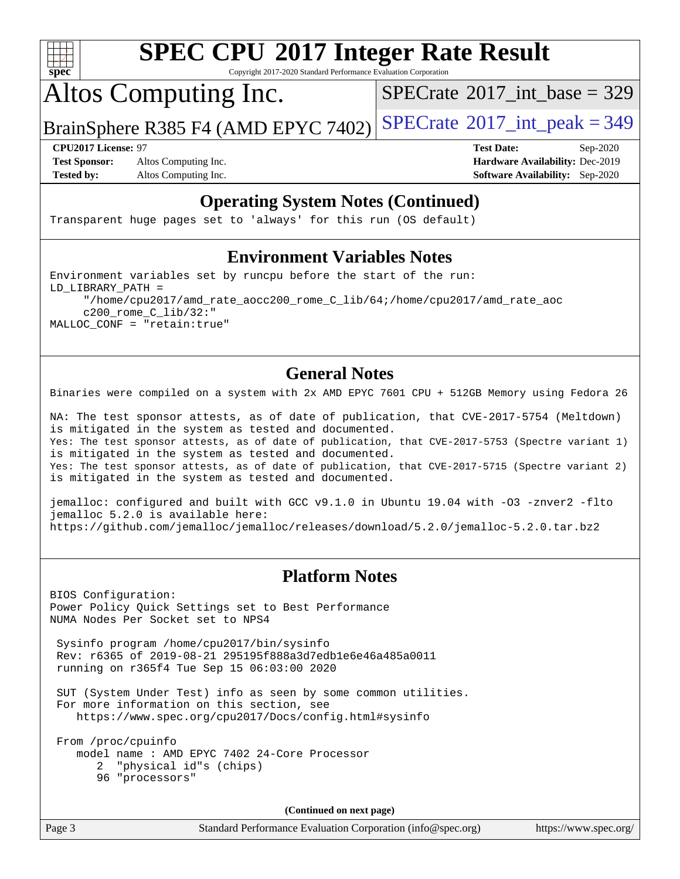

Copyright 2017-2020 Standard Performance Evaluation Corporation

Altos Computing Inc.

 $SPECTate@2017_int\_base = 329$ 

BrainSphere R385 F4 (AMD EPYC 7402) [SPECrate](http://www.spec.org/auto/cpu2017/Docs/result-fields.html#SPECrate2017intpeak)®[2017\\_int\\_peak = 3](http://www.spec.org/auto/cpu2017/Docs/result-fields.html#SPECrate2017intpeak)49

**[Test Sponsor:](http://www.spec.org/auto/cpu2017/Docs/result-fields.html#TestSponsor)** Altos Computing Inc. **[Hardware Availability:](http://www.spec.org/auto/cpu2017/Docs/result-fields.html#HardwareAvailability)** Dec-2019 **[Tested by:](http://www.spec.org/auto/cpu2017/Docs/result-fields.html#Testedby)** Altos Computing Inc. **[Software Availability:](http://www.spec.org/auto/cpu2017/Docs/result-fields.html#SoftwareAvailability)** Sep-2020

**[CPU2017 License:](http://www.spec.org/auto/cpu2017/Docs/result-fields.html#CPU2017License)** 97 **[Test Date:](http://www.spec.org/auto/cpu2017/Docs/result-fields.html#TestDate)** Sep-2020

### **[Operating System Notes \(Continued\)](http://www.spec.org/auto/cpu2017/Docs/result-fields.html#OperatingSystemNotes)**

Transparent huge pages set to 'always' for this run (OS default)

### **[Environment Variables Notes](http://www.spec.org/auto/cpu2017/Docs/result-fields.html#EnvironmentVariablesNotes)**

Environment variables set by runcpu before the start of the run: LD\_LIBRARY\_PATH = "/home/cpu2017/amd\_rate\_aocc200\_rome\_C\_lib/64;/home/cpu2017/amd\_rate\_aoc c200\_rome\_C\_lib/32:" MALLOC\_CONF = "retain:true"

### **[General Notes](http://www.spec.org/auto/cpu2017/Docs/result-fields.html#GeneralNotes)**

Binaries were compiled on a system with 2x AMD EPYC 7601 CPU + 512GB Memory using Fedora 26

NA: The test sponsor attests, as of date of publication, that CVE-2017-5754 (Meltdown) is mitigated in the system as tested and documented. Yes: The test sponsor attests, as of date of publication, that CVE-2017-5753 (Spectre variant 1) is mitigated in the system as tested and documented. Yes: The test sponsor attests, as of date of publication, that CVE-2017-5715 (Spectre variant 2) is mitigated in the system as tested and documented.

jemalloc: configured and built with GCC v9.1.0 in Ubuntu 19.04 with -O3 -znver2 -flto jemalloc 5.2.0 is available here: <https://github.com/jemalloc/jemalloc/releases/download/5.2.0/jemalloc-5.2.0.tar.bz2>

### **[Platform Notes](http://www.spec.org/auto/cpu2017/Docs/result-fields.html#PlatformNotes)**

BIOS Configuration: Power Policy Quick Settings set to Best Performance NUMA Nodes Per Socket set to NPS4

 Sysinfo program /home/cpu2017/bin/sysinfo Rev: r6365 of 2019-08-21 295195f888a3d7edb1e6e46a485a0011 running on r365f4 Tue Sep 15 06:03:00 2020

 SUT (System Under Test) info as seen by some common utilities. For more information on this section, see <https://www.spec.org/cpu2017/Docs/config.html#sysinfo>

 From /proc/cpuinfo model name : AMD EPYC 7402 24-Core Processor 2 "physical id"s (chips) 96 "processors"

**(Continued on next page)**

Page 3 Standard Performance Evaluation Corporation [\(info@spec.org\)](mailto:info@spec.org) <https://www.spec.org/>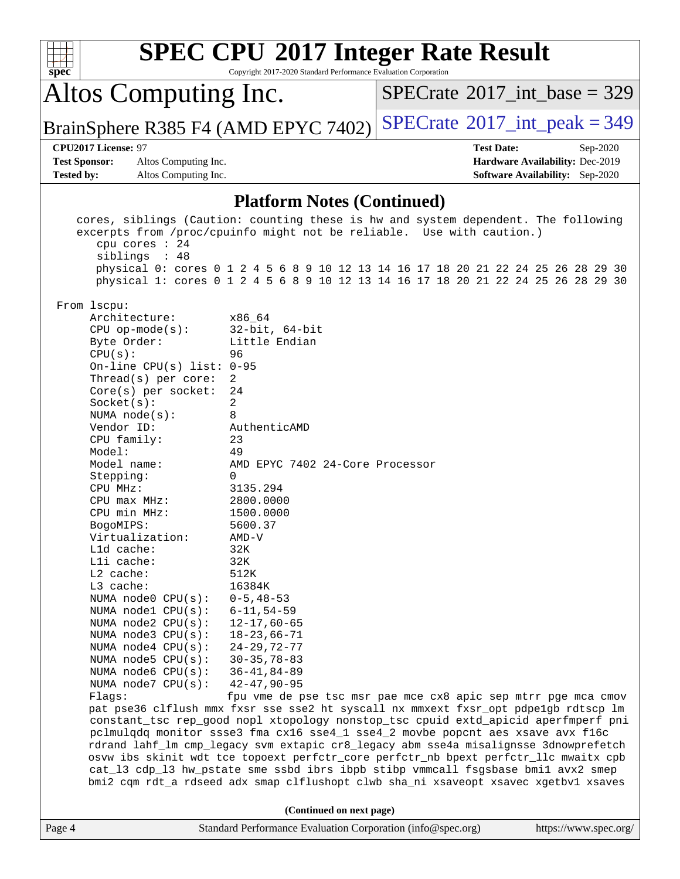| $spec^*$                                  |                                                                                                                                                                                                                                                                                                                                                                                                                                                                                                                                                                                                                                             | <b>SPEC CPU®2017 Integer Rate Result</b><br>Copyright 2017-2020 Standard Performance Evaluation Corporation                                                                                                                                                                                                                                                                                                                                                                                                                                                                                                                                                                                                                                                                                                                                                                                                                                                                                                                                                                                                                                                                                                                                                                                                                                                              |                   |                                                                           |
|-------------------------------------------|---------------------------------------------------------------------------------------------------------------------------------------------------------------------------------------------------------------------------------------------------------------------------------------------------------------------------------------------------------------------------------------------------------------------------------------------------------------------------------------------------------------------------------------------------------------------------------------------------------------------------------------------|--------------------------------------------------------------------------------------------------------------------------------------------------------------------------------------------------------------------------------------------------------------------------------------------------------------------------------------------------------------------------------------------------------------------------------------------------------------------------------------------------------------------------------------------------------------------------------------------------------------------------------------------------------------------------------------------------------------------------------------------------------------------------------------------------------------------------------------------------------------------------------------------------------------------------------------------------------------------------------------------------------------------------------------------------------------------------------------------------------------------------------------------------------------------------------------------------------------------------------------------------------------------------------------------------------------------------------------------------------------------------|-------------------|---------------------------------------------------------------------------|
|                                           | Altos Computing Inc.                                                                                                                                                                                                                                                                                                                                                                                                                                                                                                                                                                                                                        |                                                                                                                                                                                                                                                                                                                                                                                                                                                                                                                                                                                                                                                                                                                                                                                                                                                                                                                                                                                                                                                                                                                                                                                                                                                                                                                                                                          |                   | $SPECTate$ <sup>®</sup> 2017_int_base = 329                               |
|                                           |                                                                                                                                                                                                                                                                                                                                                                                                                                                                                                                                                                                                                                             | BrainSphere R385 F4 (AMD EPYC 7402)                                                                                                                                                                                                                                                                                                                                                                                                                                                                                                                                                                                                                                                                                                                                                                                                                                                                                                                                                                                                                                                                                                                                                                                                                                                                                                                                      |                   | $SPECTate$ <sup>®</sup> 2017_int_peak = 349                               |
|                                           | CPU2017 License: 97                                                                                                                                                                                                                                                                                                                                                                                                                                                                                                                                                                                                                         |                                                                                                                                                                                                                                                                                                                                                                                                                                                                                                                                                                                                                                                                                                                                                                                                                                                                                                                                                                                                                                                                                                                                                                                                                                                                                                                                                                          | <b>Test Date:</b> | Sep-2020                                                                  |
| <b>Test Sponsor:</b><br><b>Tested by:</b> | Altos Computing Inc.<br>Altos Computing Inc.                                                                                                                                                                                                                                                                                                                                                                                                                                                                                                                                                                                                |                                                                                                                                                                                                                                                                                                                                                                                                                                                                                                                                                                                                                                                                                                                                                                                                                                                                                                                                                                                                                                                                                                                                                                                                                                                                                                                                                                          |                   | Hardware Availability: Dec-2019<br><b>Software Availability:</b> Sep-2020 |
|                                           |                                                                                                                                                                                                                                                                                                                                                                                                                                                                                                                                                                                                                                             |                                                                                                                                                                                                                                                                                                                                                                                                                                                                                                                                                                                                                                                                                                                                                                                                                                                                                                                                                                                                                                                                                                                                                                                                                                                                                                                                                                          |                   |                                                                           |
|                                           |                                                                                                                                                                                                                                                                                                                                                                                                                                                                                                                                                                                                                                             | <b>Platform Notes (Continued)</b>                                                                                                                                                                                                                                                                                                                                                                                                                                                                                                                                                                                                                                                                                                                                                                                                                                                                                                                                                                                                                                                                                                                                                                                                                                                                                                                                        |                   |                                                                           |
|                                           | cpu cores : 24<br>siblings : 48<br>From lscpu:<br>Architecture:<br>$CPU$ op-mode( $s$ ):<br>Byte Order:<br>CPU(s):<br>On-line CPU(s) list: $0-95$<br>Thread(s) per core:<br>$Core(s)$ per socket:<br>Socket(s):<br>NUMA $node(s):$<br>Vendor ID:<br>CPU family:<br>Model:<br>Model name:<br>Stepping:<br>CPU MHz:<br>CPU max MHz:<br>CPU min MHz:<br>BogoMIPS:<br>Virtualization:<br>L1d cache:<br>Lli cache:<br>L2 cache:<br>L3 cache:<br>NUMA node0 CPU(s):<br>NUMA nodel CPU(s):<br>NUMA node2 CPU(s):<br>NUMA node3 CPU(s):<br>NUMA $node4$ $CPU(s):$<br>NUMA $node5$ CPU $(s)$ :<br>NUMA node6 CPU(s):<br>NUMA node7 CPU(s):<br>Flaqs: | cores, siblings (Caution: counting these is hw and system dependent. The following<br>excerpts from /proc/cpuinfo might not be reliable. Use with caution.)<br>physical 0: cores 0 1 2 4 5 6 8 9 10 12 13 14 16 17 18 20 21 22 24 25 26 28 29 30<br>physical 1: cores 0 1 2 4 5 6 8 9 10 12 13 14 16 17 18 20 21 22 24 25 26 28 29 30<br>x86 64<br>$32$ -bit, $64$ -bit<br>Little Endian<br>96<br>2<br>24<br>2<br>8<br>AuthenticAMD<br>23<br>49<br>AMD EPYC 7402 24-Core Processor<br>$\Omega$<br>3135.294<br>2800.0000<br>1500.0000<br>5600.37<br>$AMD-V$<br>32K<br>32K<br>512K<br>16384K<br>$0 - 5, 48 - 53$<br>$6 - 11, 54 - 59$<br>$12 - 17,60 - 65$<br>$18 - 23,66 - 71$<br>$24 - 29, 72 - 77$<br>$30 - 35, 78 - 83$<br>$36 - 41, 84 - 89$<br>$42 - 47, 90 - 95$<br>fpu vme de pse tsc msr pae mce cx8 apic sep mtrr pge mca cmov<br>pat pse36 clflush mmx fxsr sse sse2 ht syscall nx mmxext fxsr_opt pdpe1gb rdtscp lm<br>constant_tsc rep_good nopl xtopology nonstop_tsc cpuid extd_apicid aperfmperf pni<br>pclmulqdq monitor ssse3 fma cx16 sse4_1 sse4_2 movbe popcnt aes xsave avx f16c<br>rdrand lahf_lm cmp_legacy svm extapic cr8_legacy abm sse4a misalignsse 3dnowprefetch<br>osvw ibs skinit wdt tce topoext perfctr_core perfctr_nb bpext perfctr_llc mwaitx cpb<br>cat_13 cdp_13 hw_pstate sme ssbd ibrs ibpb stibp vmmcall fsgsbase bmil avx2 smep |                   |                                                                           |
|                                           |                                                                                                                                                                                                                                                                                                                                                                                                                                                                                                                                                                                                                                             | bmi2 cqm rdt_a rdseed adx smap clflushopt clwb sha_ni xsaveopt xsavec xgetbv1 xsaves                                                                                                                                                                                                                                                                                                                                                                                                                                                                                                                                                                                                                                                                                                                                                                                                                                                                                                                                                                                                                                                                                                                                                                                                                                                                                     |                   |                                                                           |
|                                           |                                                                                                                                                                                                                                                                                                                                                                                                                                                                                                                                                                                                                                             | (Continued on next page)                                                                                                                                                                                                                                                                                                                                                                                                                                                                                                                                                                                                                                                                                                                                                                                                                                                                                                                                                                                                                                                                                                                                                                                                                                                                                                                                                 |                   |                                                                           |
| Page 4                                    |                                                                                                                                                                                                                                                                                                                                                                                                                                                                                                                                                                                                                                             | Standard Performance Evaluation Corporation (info@spec.org)                                                                                                                                                                                                                                                                                                                                                                                                                                                                                                                                                                                                                                                                                                                                                                                                                                                                                                                                                                                                                                                                                                                                                                                                                                                                                                              |                   | https://www.spec.org/                                                     |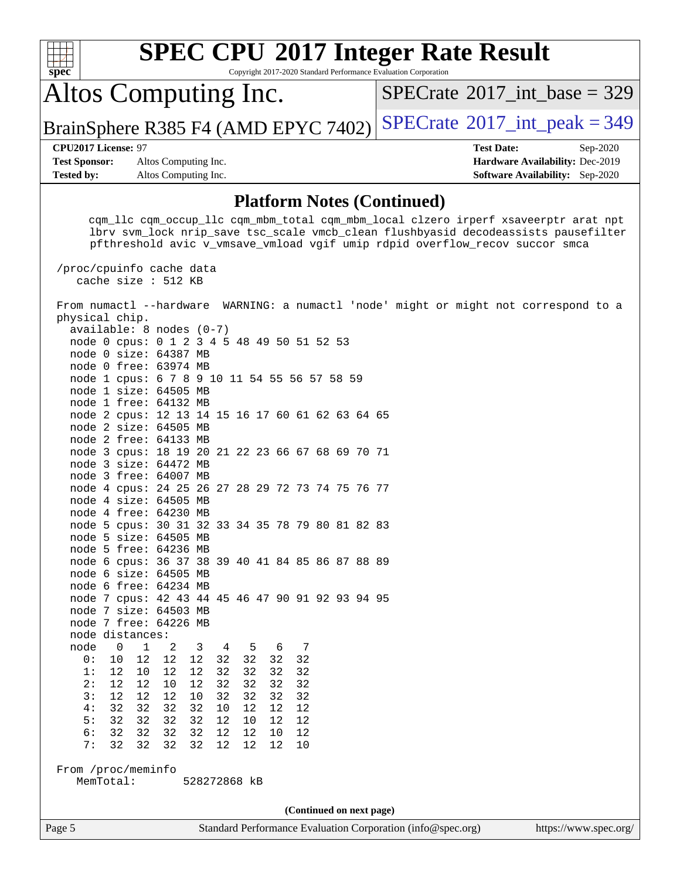| <b>SPEC CPU®2017 Integer Rate Result</b><br>Copyright 2017-2020 Standard Performance Evaluation Corporation<br>spec                                                                                                                                                                                                                                                                                                                                                                                                                                                                                                                                                                                                                                                                                                                                                                                                                                                                                                                                                                                                                                                                                                                                                                                                                                                                                                                                                                                                                       |                                                                                                            |
|-------------------------------------------------------------------------------------------------------------------------------------------------------------------------------------------------------------------------------------------------------------------------------------------------------------------------------------------------------------------------------------------------------------------------------------------------------------------------------------------------------------------------------------------------------------------------------------------------------------------------------------------------------------------------------------------------------------------------------------------------------------------------------------------------------------------------------------------------------------------------------------------------------------------------------------------------------------------------------------------------------------------------------------------------------------------------------------------------------------------------------------------------------------------------------------------------------------------------------------------------------------------------------------------------------------------------------------------------------------------------------------------------------------------------------------------------------------------------------------------------------------------------------------------|------------------------------------------------------------------------------------------------------------|
| Altos Computing Inc.                                                                                                                                                                                                                                                                                                                                                                                                                                                                                                                                                                                                                                                                                                                                                                                                                                                                                                                                                                                                                                                                                                                                                                                                                                                                                                                                                                                                                                                                                                                      | $SPECrate^{\circ}2017\_int\_base = 329$                                                                    |
| BrainSphere R385 F4 (AMD EPYC 7402)                                                                                                                                                                                                                                                                                                                                                                                                                                                                                                                                                                                                                                                                                                                                                                                                                                                                                                                                                                                                                                                                                                                                                                                                                                                                                                                                                                                                                                                                                                       | $SPECTate@2017$ _int_peak = 349                                                                            |
| CPU2017 License: 97<br><b>Test Sponsor:</b><br>Altos Computing Inc.<br><b>Tested by:</b><br>Altos Computing Inc.                                                                                                                                                                                                                                                                                                                                                                                                                                                                                                                                                                                                                                                                                                                                                                                                                                                                                                                                                                                                                                                                                                                                                                                                                                                                                                                                                                                                                          | <b>Test Date:</b><br>Sep-2020<br>Hardware Availability: Dec-2019<br><b>Software Availability:</b> Sep-2020 |
| <b>Platform Notes (Continued)</b>                                                                                                                                                                                                                                                                                                                                                                                                                                                                                                                                                                                                                                                                                                                                                                                                                                                                                                                                                                                                                                                                                                                                                                                                                                                                                                                                                                                                                                                                                                         |                                                                                                            |
| cqm_llc cqm_occup_llc cqm_mbm_total cqm_mbm_local clzero irperf xsaveerptr arat npt<br>lbrv svm_lock nrip_save tsc_scale vmcb_clean flushbyasid decodeassists pausefilter<br>pfthreshold avic v_vmsave_vmload vgif umip rdpid overflow_recov succor smca<br>/proc/cpuinfo cache data<br>cache size : 512 KB                                                                                                                                                                                                                                                                                                                                                                                                                                                                                                                                                                                                                                                                                                                                                                                                                                                                                                                                                                                                                                                                                                                                                                                                                               |                                                                                                            |
| From numactl --hardware WARNING: a numactl 'node' might or might not correspond to a<br>physical chip.<br>$available: 8 nodes (0-7)$<br>node 0 cpus: 0 1 2 3 4 5 48 49 50 51 52 53<br>node 0 size: 64387 MB<br>node 0 free: 63974 MB<br>node 1 cpus: 6 7 8 9 10 11 54 55 56 57 58 59<br>node 1 size: 64505 MB<br>node 1 free: 64132 MB<br>node 2 cpus: 12 13 14 15 16 17 60 61 62 63 64 65<br>node 2 size: 64505 MB<br>node 2 free: 64133 MB<br>node 3 cpus: 18 19 20 21 22 23 66 67 68 69 70 71<br>node 3 size: 64472 MB<br>node 3 free: 64007 MB<br>node 4 cpus: 24 25 26 27 28 29 72 73 74 75 76 77<br>node 4 size: 64505 MB<br>node 4 free: 64230 MB<br>node 5 cpus: 30 31 32 33 34 35 78 79 80 81 82 83<br>node 5 size: 64505 MB<br>node 5 free: 64236 MB<br>node 6 cpus: 36 37 38 39 40 41 84 85 86 87 88 89<br>node 6 size: 64505 MB<br>node 6 free: 64234 MB<br>node 7 cpus: 42 43 44 45 46 47 90 91 92 93 94 95<br>node 7 size: 64503 MB<br>node 7 free: 64226 MB<br>node distances:<br>node<br>$\mathbf{0}$<br>$\mathbf 1$<br>2<br>3<br>6<br>4<br>5<br>7<br>32<br>0:<br>12<br>12<br>32<br>32<br>32<br>10<br>12<br>32<br>32<br>1:<br>12<br>10<br>12<br>12<br>32<br>32<br>2:<br>12<br>10<br>12<br>32<br>32<br>32<br>32<br>12<br>12<br>12<br>12<br>10<br>32<br>32<br>32<br>32<br>3:<br>32<br>32<br>32<br>32<br>12<br>12<br>12<br>4 :<br>10<br>5:<br>32<br>32<br>32<br>32<br>12<br>10<br>12<br>12<br>6:<br>32<br>32<br>32<br>12<br>12<br>12<br>32<br>10<br>7:<br>32<br>32<br>32<br>32<br>12<br>12<br>12<br>10<br>From /proc/meminfo |                                                                                                            |
| MemTotal:<br>528272868 kB                                                                                                                                                                                                                                                                                                                                                                                                                                                                                                                                                                                                                                                                                                                                                                                                                                                                                                                                                                                                                                                                                                                                                                                                                                                                                                                                                                                                                                                                                                                 |                                                                                                            |
| (Continued on next page)<br>Page 5<br>Standard Performance Evaluation Corporation (info@spec.org)                                                                                                                                                                                                                                                                                                                                                                                                                                                                                                                                                                                                                                                                                                                                                                                                                                                                                                                                                                                                                                                                                                                                                                                                                                                                                                                                                                                                                                         | https://www.spec.org/                                                                                      |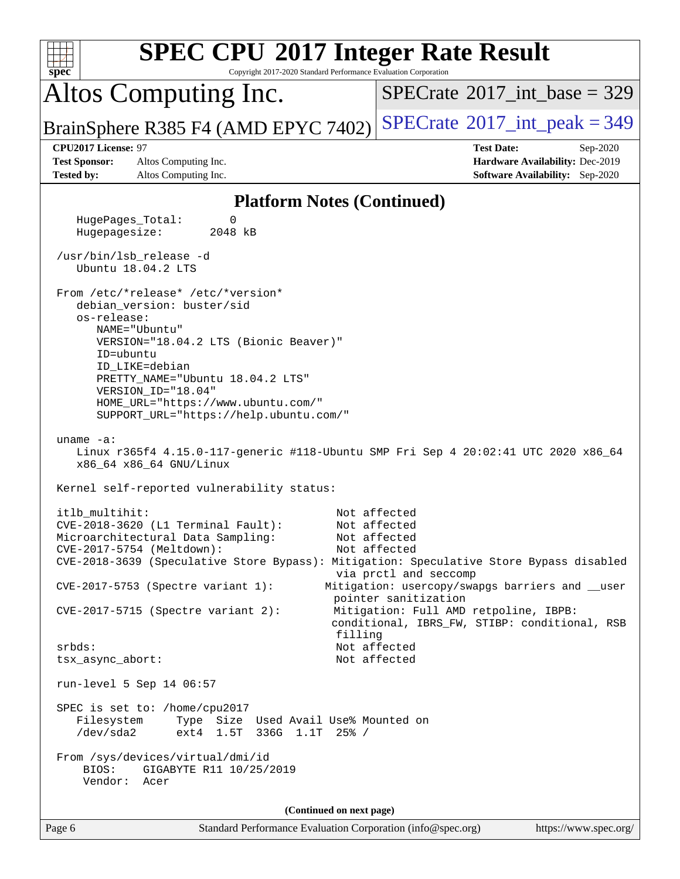| <b>SPEC CPU®2017 Integer Rate Result</b><br>spec<br>Copyright 2017-2020 Standard Performance Evaluation Corporation                                                                                                                                                                                                                                                                                                                                                                                                                                                                                                         |                                                                                                                |
|-----------------------------------------------------------------------------------------------------------------------------------------------------------------------------------------------------------------------------------------------------------------------------------------------------------------------------------------------------------------------------------------------------------------------------------------------------------------------------------------------------------------------------------------------------------------------------------------------------------------------------|----------------------------------------------------------------------------------------------------------------|
| Altos Computing Inc.                                                                                                                                                                                                                                                                                                                                                                                                                                                                                                                                                                                                        | $SPECTate$ <sup>®</sup> 2017_int_base = 329                                                                    |
| BrainSphere R385 F4 (AMD EPYC 7402)                                                                                                                                                                                                                                                                                                                                                                                                                                                                                                                                                                                         | $SPECrate^{\circ}2017\_int\_peak = 349$                                                                        |
| CPU2017 License: 97<br><b>Test Sponsor:</b><br>Altos Computing Inc.<br><b>Tested by:</b><br>Altos Computing Inc.                                                                                                                                                                                                                                                                                                                                                                                                                                                                                                            | <b>Test Date:</b><br>Sep-2020<br>Hardware Availability: Dec-2019<br>Software Availability: Sep-2020            |
| <b>Platform Notes (Continued)</b>                                                                                                                                                                                                                                                                                                                                                                                                                                                                                                                                                                                           |                                                                                                                |
| HugePages_Total:<br>0<br>Hugepagesize:<br>2048 kB                                                                                                                                                                                                                                                                                                                                                                                                                                                                                                                                                                           |                                                                                                                |
| /usr/bin/lsb_release -d<br>Ubuntu 18.04.2 LTS                                                                                                                                                                                                                                                                                                                                                                                                                                                                                                                                                                               |                                                                                                                |
| From /etc/*release* /etc/*version*<br>debian_version: buster/sid<br>os-release:<br>NAME="Ubuntu"<br>VERSION="18.04.2 LTS (Bionic Beaver)"<br>ID=ubuntu<br>ID_LIKE=debian<br>PRETTY_NAME="Ubuntu 18.04.2 LTS"<br>VERSION_ID="18.04"<br>HOME_URL="https://www.ubuntu.com/"<br>SUPPORT_URL="https://help.ubuntu.com/"<br>uname $-a$ :<br>Linux r365f4 4.15.0-117-generic #118-Ubuntu SMP Fri Sep 4 20:02:41 UTC 2020 x86_64<br>x86_64 x86_64 GNU/Linux<br>Kernel self-reported vulnerability status:<br>itlb_multihit:<br>CVE-2018-3620 (L1 Terminal Fault):<br>Microarchitectural Data Sampling:<br>CVE-2017-5754 (Meltdown): | Not affected<br>Not affected<br>Not affected<br>Not affected                                                   |
| CVE-2018-3639 (Speculative Store Bypass): Mitigation: Speculative Store Bypass disabled<br>CVE-2017-5753 (Spectre variant 1):                                                                                                                                                                                                                                                                                                                                                                                                                                                                                               | via prctl and seccomp<br>Mitigation: usercopy/swapgs barriers and __user                                       |
| $CVE-2017-5715$ (Spectre variant 2):<br>filling                                                                                                                                                                                                                                                                                                                                                                                                                                                                                                                                                                             | pointer sanitization<br>Mitigation: Full AMD retpoline, IBPB:<br>conditional, IBRS_FW, STIBP: conditional, RSB |
| srbds:<br>tsx_async_abort:                                                                                                                                                                                                                                                                                                                                                                                                                                                                                                                                                                                                  | Not affected<br>Not affected                                                                                   |
| run-level 5 Sep 14 06:57                                                                                                                                                                                                                                                                                                                                                                                                                                                                                                                                                                                                    |                                                                                                                |
| SPEC is set to: /home/cpu2017<br>Filesystem<br>Type Size Used Avail Use% Mounted on<br>ext4 1.5T 336G 1.1T 25% /<br>/dev/sda2                                                                                                                                                                                                                                                                                                                                                                                                                                                                                               |                                                                                                                |
| From /sys/devices/virtual/dmi/id<br>BIOS:<br>GIGABYTE R11 10/25/2019<br>Vendor: Acer                                                                                                                                                                                                                                                                                                                                                                                                                                                                                                                                        |                                                                                                                |
| (Continued on next page)                                                                                                                                                                                                                                                                                                                                                                                                                                                                                                                                                                                                    |                                                                                                                |
| Page 6<br>Standard Performance Evaluation Corporation (info@spec.org)                                                                                                                                                                                                                                                                                                                                                                                                                                                                                                                                                       | https://www.spec.org/                                                                                          |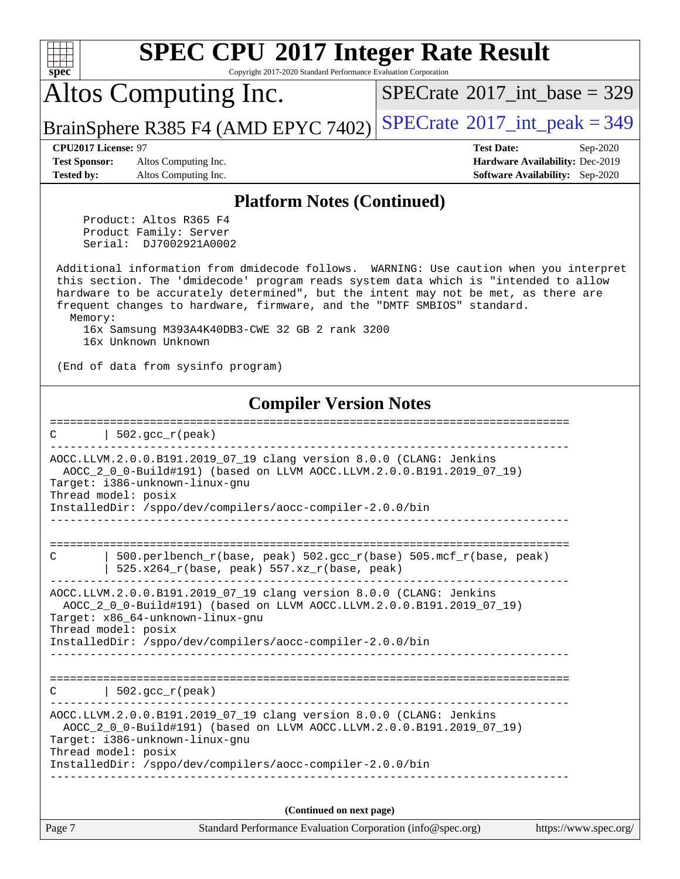| <b>SPEC CPU®2017 Integer Rate Result</b><br>Copyright 2017-2020 Standard Performance Evaluation Corporation<br>spec <sup>®</sup>                                                                                                                                                                                                                          |                                                                                                                   |
|-----------------------------------------------------------------------------------------------------------------------------------------------------------------------------------------------------------------------------------------------------------------------------------------------------------------------------------------------------------|-------------------------------------------------------------------------------------------------------------------|
| Altos Computing Inc.                                                                                                                                                                                                                                                                                                                                      | $SPECrate^{\circledast}2017$ int base = 329                                                                       |
| BrainSphere R385 F4 (AMD EPYC 7402)                                                                                                                                                                                                                                                                                                                       | $SPECrate@2017(int peak = 349$                                                                                    |
| CPU2017 License: 97<br><b>Test Sponsor:</b><br>Altos Computing Inc.<br>Altos Computing Inc.<br><b>Tested by:</b>                                                                                                                                                                                                                                          | <b>Test Date:</b><br>Sep-2020<br><b>Hardware Availability: Dec-2019</b><br><b>Software Availability:</b> Sep-2020 |
| <b>Platform Notes (Continued)</b>                                                                                                                                                                                                                                                                                                                         |                                                                                                                   |
| Product: Altos R365 F4<br>Product Family: Server<br>Serial: DJ7002921A0002                                                                                                                                                                                                                                                                                |                                                                                                                   |
| Additional information from dmidecode follows. WARNING: Use caution when you interpret<br>this section. The 'dmidecode' program reads system data which is "intended to allow<br>hardware to be accurately determined", but the intent may not be met, as there are<br>frequent changes to hardware, firmware, and the "DMTF SMBIOS" standard.<br>Memory: |                                                                                                                   |
| 16x Samsung M393A4K40DB3-CWE 32 GB 2 rank 3200<br>16x Unknown Unknown                                                                                                                                                                                                                                                                                     |                                                                                                                   |
| (End of data from sysinfo program)                                                                                                                                                                                                                                                                                                                        |                                                                                                                   |
| <b>Compiler Version Notes</b>                                                                                                                                                                                                                                                                                                                             |                                                                                                                   |
| ============================<br>$502.$ $\text{gcc\_r}$ (peak)<br>С                                                                                                                                                                                                                                                                                        |                                                                                                                   |
| AOCC.LLVM.2.0.0.B191.2019_07_19 clang version 8.0.0 (CLANG: Jenkins<br>AOCC_2_0_0-Build#191) (based on LLVM AOCC.LLVM.2.0.0.B191.2019_07_19)<br>Target: i386-unknown-linux-qnu<br>Thread model: posix                                                                                                                                                     |                                                                                                                   |
| InstalledDir: /sppo/dev/compilers/aocc-compiler-2.0.0/bin                                                                                                                                                                                                                                                                                                 |                                                                                                                   |
| 500.perlbench_r(base, peak) 502.gcc_r(base) 505.mcf_r(base, peak)<br>C<br>525.x264_r(base, peak) 557.xz_r(base, peak)                                                                                                                                                                                                                                     |                                                                                                                   |
| AOCC.LLVM.2.0.0.B191.2019_07_19 clang version 8.0.0 (CLANG: Jenkins<br>AOCC_2_0_0-Build#191) (based on LLVM AOCC.LLVM.2.0.0.B191.2019_07_19)<br>Target: x86_64-unknown-linux-gnu                                                                                                                                                                          |                                                                                                                   |
| Thread model: posix<br>InstalledDir: /sppo/dev/compilers/aocc-compiler-2.0.0/bin                                                                                                                                                                                                                                                                          |                                                                                                                   |
| $\vert$ 502.gcc_r(peak)<br>C                                                                                                                                                                                                                                                                                                                              |                                                                                                                   |
| AOCC.LLVM.2.0.0.B191.2019_07_19 clang version 8.0.0 (CLANG: Jenkins<br>AOCC_2_0_0-Build#191) (based on LLVM AOCC.LLVM.2.0.0.B191.2019_07_19)<br>Target: i386-unknown-linux-gnu<br>Thread model: posix                                                                                                                                                     |                                                                                                                   |
| InstalledDir: /sppo/dev/compilers/aocc-compiler-2.0.0/bin                                                                                                                                                                                                                                                                                                 |                                                                                                                   |
| (Continued on next page)                                                                                                                                                                                                                                                                                                                                  |                                                                                                                   |
| Standard Performance Evaluation Corporation (info@spec.org)<br>Page 7                                                                                                                                                                                                                                                                                     | https://www.spec.org/                                                                                             |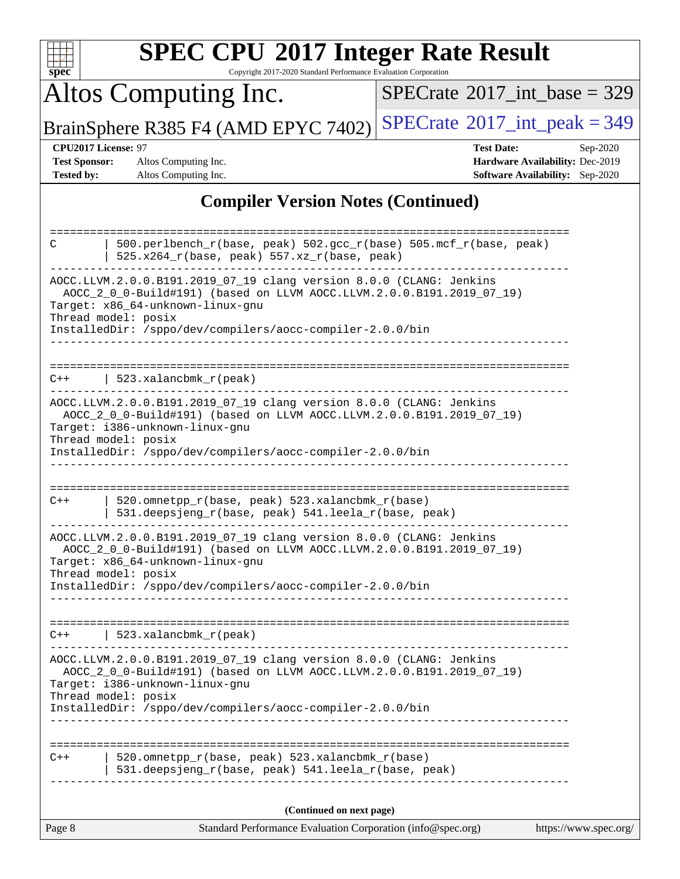| $spec^*$                                                  | <b>SPEC CPU®2017 Integer Rate Result</b><br>Copyright 2017-2020 Standard Performance Evaluation Corporation                                                                                                                                 |                                             |                                                                                       |
|-----------------------------------------------------------|---------------------------------------------------------------------------------------------------------------------------------------------------------------------------------------------------------------------------------------------|---------------------------------------------|---------------------------------------------------------------------------------------|
|                                                           | Altos Computing Inc.                                                                                                                                                                                                                        | $SPECTate$ <sup>®</sup> 2017_int_base = 329 |                                                                                       |
|                                                           | BrainSphere R385 F4 (AMD EPYC 7402)                                                                                                                                                                                                         | $SPECrate^{\circ}2017\_int\_peak = 349$     |                                                                                       |
| CPU2017 License: 97<br><b>Test Sponsor:</b><br>Tested by: | Altos Computing Inc.<br>Altos Computing Inc.                                                                                                                                                                                                | <b>Test Date:</b>                           | Sep-2020<br>Hardware Availability: Dec-2019<br><b>Software Availability:</b> Sep-2020 |
|                                                           | <b>Compiler Version Notes (Continued)</b>                                                                                                                                                                                                   |                                             |                                                                                       |
| C                                                         | 500.perlbench_r(base, peak) 502.gcc_r(base) 505.mcf_r(base, peak)<br>525.x264_r(base, peak) 557.xz_r(base, peak)<br>AOCC.LLVM.2.0.0.B191.2019_07_19 clang version 8.0.0 (CLANG: Jenkins                                                     |                                             |                                                                                       |
| Thread model: posix                                       | AOCC_2_0_0-Build#191) (based on LLVM AOCC.LLVM.2.0.0.B191.2019_07_19)<br>Target: x86_64-unknown-linux-gnu<br>InstalledDir: /sppo/dev/compilers/aocc-compiler-2.0.0/bin                                                                      |                                             |                                                                                       |
| $C++$                                                     | 523.xalancbmk_r(peak)                                                                                                                                                                                                                       |                                             |                                                                                       |
| Thread model: posix                                       | AOCC.LLVM.2.0.0.B191.2019_07_19 clang version 8.0.0 (CLANG: Jenkins<br>AOCC_2_0_0-Build#191) (based on LLVM AOCC.LLVM.2.0.0.B191.2019_07_19)<br>Target: i386-unknown-linux-gnu<br>InstalledDir: /sppo/dev/compilers/aocc-compiler-2.0.0/bin |                                             |                                                                                       |
| $C++$                                                     | 520.omnetpp_r(base, peak) 523.xalancbmk_r(base)<br>531.deepsjeng_r(base, peak) 541.leela_r(base, peak)                                                                                                                                      |                                             |                                                                                       |
| Thread model: posix                                       | AOCC.LLVM.2.0.0.B191.2019_07_19 clang version 8.0.0 (CLANG: Jenkins<br>AOCC_2_0_0-Build#191) (based on LLVM AOCC.LLVM.2.0.0.B191.2019_07_19)<br>Target: x86_64-unknown-linux-gnu                                                            |                                             |                                                                                       |
|                                                           | InstalledDir: /sppo/dev/compilers/aocc-compiler-2.0.0/bin                                                                                                                                                                                   |                                             |                                                                                       |
| $C++$                                                     | 523.xalancbmk_r(peak)                                                                                                                                                                                                                       |                                             |                                                                                       |
| Thread model: posix                                       | AOCC.LLVM.2.0.0.B191.2019_07_19 clang version 8.0.0 (CLANG: Jenkins<br>AOCC_2_0_0-Build#191) (based on LLVM AOCC.LLVM.2.0.0.B191.2019_07_19)<br>Target: i386-unknown-linux-gnu<br>InstalledDir: /sppo/dev/compilers/aocc-compiler-2.0.0/bin |                                             |                                                                                       |
|                                                           |                                                                                                                                                                                                                                             |                                             |                                                                                       |
| $C++$                                                     | 520.omnetpp_r(base, peak) 523.xalancbmk_r(base)<br>531.deepsjeng_r(base, peak) 541.leela_r(base, peak)                                                                                                                                      |                                             |                                                                                       |
|                                                           | (Continued on next page)                                                                                                                                                                                                                    |                                             |                                                                                       |
| Page 8                                                    | Standard Performance Evaluation Corporation (info@spec.org)                                                                                                                                                                                 |                                             | https://www.spec.org/                                                                 |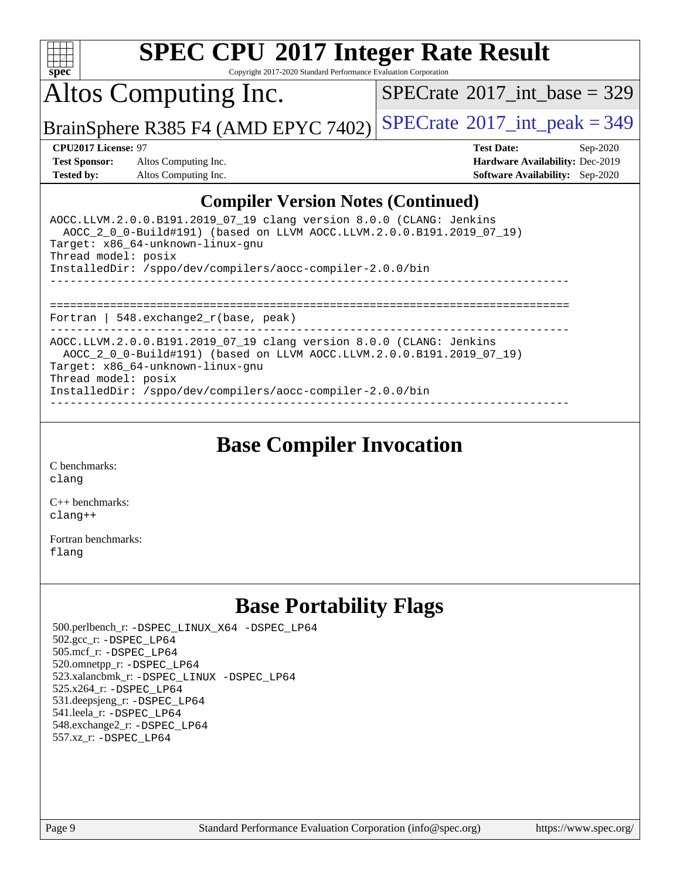

Copyright 2017-2020 Standard Performance Evaluation Corporation

Altos Computing Inc.

 $SPECTate@2017_int\_base = 329$ 

BrainSphere R385 F4 (AMD EPYC 7402) [SPECrate](http://www.spec.org/auto/cpu2017/Docs/result-fields.html#SPECrate2017intpeak)<sup>®</sup>[2017\\_int\\_peak = 3](http://www.spec.org/auto/cpu2017/Docs/result-fields.html#SPECrate2017intpeak)49

**[Test Sponsor:](http://www.spec.org/auto/cpu2017/Docs/result-fields.html#TestSponsor)** Altos Computing Inc. **[Hardware Availability:](http://www.spec.org/auto/cpu2017/Docs/result-fields.html#HardwareAvailability)** Dec-2019 **[Tested by:](http://www.spec.org/auto/cpu2017/Docs/result-fields.html#Testedby)** Altos Computing Inc. **[Software Availability:](http://www.spec.org/auto/cpu2017/Docs/result-fields.html#SoftwareAvailability)** Sep-2020

**[CPU2017 License:](http://www.spec.org/auto/cpu2017/Docs/result-fields.html#CPU2017License)** 97 **[Test Date:](http://www.spec.org/auto/cpu2017/Docs/result-fields.html#TestDate)** Sep-2020

### **[Compiler Version Notes \(Continued\)](http://www.spec.org/auto/cpu2017/Docs/result-fields.html#CompilerVersionNotes)**

| AOCC.LLVM.2.0.0.B191.2019 07 19 clang version 8.0.0 (CLANG: Jenkins<br>AOCC 2 0 0-Build#191) (based on LLVM AOCC.LLVM.2.0.0.B191.2019 07 19)<br>Target: x86 64-unknown-linux-gnu<br>Thread model: posix<br>InstalledDir: /sppo/dev/compilers/aocc-compiler-2.0.0/bin |
|----------------------------------------------------------------------------------------------------------------------------------------------------------------------------------------------------------------------------------------------------------------------|
| Fortran   548. $exchange2 r(base, peak)$                                                                                                                                                                                                                             |
| AOCC.LLVM.2.0.0.B191.2019 07 19 clang version 8.0.0 (CLANG: Jenkins<br>AOCC 2 0 0-Build#191) (based on LLVM AOCC.LLVM.2.0.0.B191.2019 07 19)<br>Target: x86 64-unknown-linux-gnu<br>Thread model: posix<br>InstalledDir: /sppo/dev/compilers/aocc-compiler-2.0.0/bin |

**[Base Compiler Invocation](http://www.spec.org/auto/cpu2017/Docs/result-fields.html#BaseCompilerInvocation)**

[C benchmarks](http://www.spec.org/auto/cpu2017/Docs/result-fields.html#Cbenchmarks): [clang](http://www.spec.org/cpu2017/results/res2020q4/cpu2017-20200918-24011.flags.html#user_CCbase_clang-c)

[C++ benchmarks:](http://www.spec.org/auto/cpu2017/Docs/result-fields.html#CXXbenchmarks) [clang++](http://www.spec.org/cpu2017/results/res2020q4/cpu2017-20200918-24011.flags.html#user_CXXbase_clang-cpp)

[Fortran benchmarks](http://www.spec.org/auto/cpu2017/Docs/result-fields.html#Fortranbenchmarks): [flang](http://www.spec.org/cpu2017/results/res2020q4/cpu2017-20200918-24011.flags.html#user_FCbase_flang)

## **[Base Portability Flags](http://www.spec.org/auto/cpu2017/Docs/result-fields.html#BasePortabilityFlags)**

 500.perlbench\_r: [-DSPEC\\_LINUX\\_X64](http://www.spec.org/cpu2017/results/res2020q4/cpu2017-20200918-24011.flags.html#b500.perlbench_r_basePORTABILITY_DSPEC_LINUX_X64) [-DSPEC\\_LP64](http://www.spec.org/cpu2017/results/res2020q4/cpu2017-20200918-24011.flags.html#b500.perlbench_r_baseEXTRA_PORTABILITY_DSPEC_LP64) 502.gcc\_r: [-DSPEC\\_LP64](http://www.spec.org/cpu2017/results/res2020q4/cpu2017-20200918-24011.flags.html#suite_baseEXTRA_PORTABILITY502_gcc_r_DSPEC_LP64) 505.mcf\_r: [-DSPEC\\_LP64](http://www.spec.org/cpu2017/results/res2020q4/cpu2017-20200918-24011.flags.html#suite_baseEXTRA_PORTABILITY505_mcf_r_DSPEC_LP64) 520.omnetpp\_r: [-DSPEC\\_LP64](http://www.spec.org/cpu2017/results/res2020q4/cpu2017-20200918-24011.flags.html#suite_baseEXTRA_PORTABILITY520_omnetpp_r_DSPEC_LP64) 523.xalancbmk\_r: [-DSPEC\\_LINUX](http://www.spec.org/cpu2017/results/res2020q4/cpu2017-20200918-24011.flags.html#b523.xalancbmk_r_basePORTABILITY_DSPEC_LINUX) [-DSPEC\\_LP64](http://www.spec.org/cpu2017/results/res2020q4/cpu2017-20200918-24011.flags.html#suite_baseEXTRA_PORTABILITY523_xalancbmk_r_DSPEC_LP64) 525.x264\_r: [-DSPEC\\_LP64](http://www.spec.org/cpu2017/results/res2020q4/cpu2017-20200918-24011.flags.html#suite_baseEXTRA_PORTABILITY525_x264_r_DSPEC_LP64) 531.deepsjeng\_r: [-DSPEC\\_LP64](http://www.spec.org/cpu2017/results/res2020q4/cpu2017-20200918-24011.flags.html#suite_baseEXTRA_PORTABILITY531_deepsjeng_r_DSPEC_LP64) 541.leela\_r: [-DSPEC\\_LP64](http://www.spec.org/cpu2017/results/res2020q4/cpu2017-20200918-24011.flags.html#suite_baseEXTRA_PORTABILITY541_leela_r_DSPEC_LP64) 548.exchange2\_r: [-DSPEC\\_LP64](http://www.spec.org/cpu2017/results/res2020q4/cpu2017-20200918-24011.flags.html#suite_baseEXTRA_PORTABILITY548_exchange2_r_DSPEC_LP64) 557.xz\_r: [-DSPEC\\_LP64](http://www.spec.org/cpu2017/results/res2020q4/cpu2017-20200918-24011.flags.html#suite_baseEXTRA_PORTABILITY557_xz_r_DSPEC_LP64)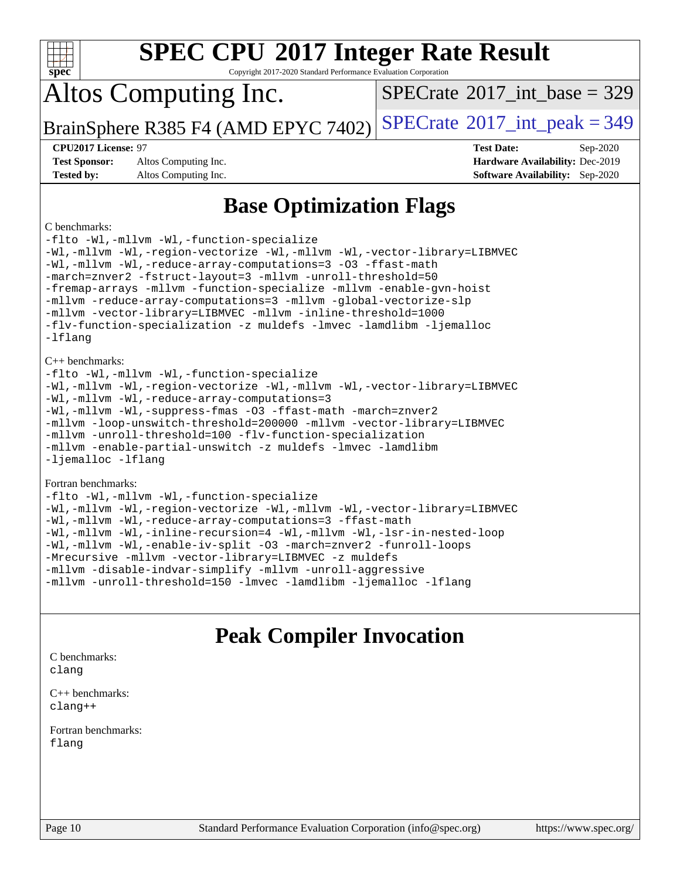|  | spec® |  |  |  |
|--|-------|--|--|--|

Copyright 2017-2020 Standard Performance Evaluation Corporation

## Altos Computing Inc.

 $SPECTate@2017_int\_base = 329$ 

BrainSphere R385 F4 (AMD EPYC 7402) [SPECrate](http://www.spec.org/auto/cpu2017/Docs/result-fields.html#SPECrate2017intpeak)<sup>®</sup>[2017\\_int\\_peak = 3](http://www.spec.org/auto/cpu2017/Docs/result-fields.html#SPECrate2017intpeak)49

**[Test Sponsor:](http://www.spec.org/auto/cpu2017/Docs/result-fields.html#TestSponsor)** Altos Computing Inc. **[Hardware Availability:](http://www.spec.org/auto/cpu2017/Docs/result-fields.html#HardwareAvailability)** Dec-2019 **[Tested by:](http://www.spec.org/auto/cpu2017/Docs/result-fields.html#Testedby)** Altos Computing Inc. **[Software Availability:](http://www.spec.org/auto/cpu2017/Docs/result-fields.html#SoftwareAvailability)** Sep-2020

**[CPU2017 License:](http://www.spec.org/auto/cpu2017/Docs/result-fields.html#CPU2017License)** 97 **[Test Date:](http://www.spec.org/auto/cpu2017/Docs/result-fields.html#TestDate)** Sep-2020

## **[Base Optimization Flags](http://www.spec.org/auto/cpu2017/Docs/result-fields.html#BaseOptimizationFlags)**

### [C benchmarks:](http://www.spec.org/auto/cpu2017/Docs/result-fields.html#Cbenchmarks)

[-flto](http://www.spec.org/cpu2017/results/res2020q4/cpu2017-20200918-24011.flags.html#user_CCbase_aocc-flto) [-Wl,-mllvm -Wl,-function-specialize](http://www.spec.org/cpu2017/results/res2020q4/cpu2017-20200918-24011.flags.html#user_CCbase_F-function-specialize_7e7e661e57922243ee67c9a1251cb8910e607325179a0ce7f2884e09a6f5d4a5ef0ae4f37e8a2a11c95fc48e931f06dc2b6016f14b511fcb441e048bef1b065a) [-Wl,-mllvm -Wl,-region-vectorize](http://www.spec.org/cpu2017/results/res2020q4/cpu2017-20200918-24011.flags.html#user_CCbase_F-region-vectorize_fb6c6b5aa293c88efc6c7c2b52b20755e943585b1fe8658c35afef78727fff56e1a56891413c30e36b8e2a6f9a71126986319243e80eb6110b78b288f533c52b) [-Wl,-mllvm -Wl,-vector-library=LIBMVEC](http://www.spec.org/cpu2017/results/res2020q4/cpu2017-20200918-24011.flags.html#user_CCbase_F-use-vector-library_0a14b27fae317f283640384a31f7bfcc2bd4c1d0b5cfc618a3a430800c9b20217b00f61303eff223a3251b4f06ffbc9739dc5296db9d1fbb9ad24a3939d86d66) [-Wl,-mllvm -Wl,-reduce-array-computations=3](http://www.spec.org/cpu2017/results/res2020q4/cpu2017-20200918-24011.flags.html#user_CCbase_F-reduce-array-computations_b882aefe7a5dda4e33149f6299762b9a720dace3e498e13756f4c04e5a19edf5315c1f3993de2e61ec41e8c206231f84e05da7040e1bb5d69ba27d10a12507e4) [-O3](http://www.spec.org/cpu2017/results/res2020q4/cpu2017-20200918-24011.flags.html#user_CCbase_F-O3) [-ffast-math](http://www.spec.org/cpu2017/results/res2020q4/cpu2017-20200918-24011.flags.html#user_CCbase_aocc-ffast-math) [-march=znver2](http://www.spec.org/cpu2017/results/res2020q4/cpu2017-20200918-24011.flags.html#user_CCbase_aocc-march_3e2e19cff2eeef60c5d90b059483627c9ea47eca6d66670dbd53f9185f6439e27eb5e104cf773e9e8ab18c8842ce63e461a3e948d0214bd567ef3ade411bf467) [-fstruct-layout=3](http://www.spec.org/cpu2017/results/res2020q4/cpu2017-20200918-24011.flags.html#user_CCbase_F-struct-layout) [-mllvm -unroll-threshold=50](http://www.spec.org/cpu2017/results/res2020q4/cpu2017-20200918-24011.flags.html#user_CCbase_F-unroll-threshold_458874500b2c105d6d5cb4d7a611c40e2b16e9e3d26b355fea72d644c3673b4de4b3932662f0ed3dbec75c491a13da2d2ca81180bd779dc531083ef1e1e549dc) [-fremap-arrays](http://www.spec.org/cpu2017/results/res2020q4/cpu2017-20200918-24011.flags.html#user_CCbase_F-fremap-arrays) [-mllvm -function-specialize](http://www.spec.org/cpu2017/results/res2020q4/cpu2017-20200918-24011.flags.html#user_CCbase_F-function-specialize_233b3bdba86027f1b094368157e481c5bc59f40286dc25bfadc1858dcd5745c24fd30d5f188710db7fea399bcc9f44a80b3ce3aacc70a8870250c3ae5e1f35b8) [-mllvm -enable-gvn-hoist](http://www.spec.org/cpu2017/results/res2020q4/cpu2017-20200918-24011.flags.html#user_CCbase_F-enable-gvn-hoist_e5856354646dd6ca1333a0ad99b817e4cf8932b91b82809fd8fd47ceff7b22a89eba5c98fd3e3fa5200368fd772cec3dd56abc3c8f7b655a71b9f9848dddedd5) [-mllvm -reduce-array-computations=3](http://www.spec.org/cpu2017/results/res2020q4/cpu2017-20200918-24011.flags.html#user_CCbase_F-reduce-array-computations_aceadb8604558b566e0e3a0d7a3c1533923dd1fa0889614e16288028922629a28d5695c24d3b3be4306b1e311c54317dfffe3a2e57fbcaabc737a1798de39145) [-mllvm -global-vectorize-slp](http://www.spec.org/cpu2017/results/res2020q4/cpu2017-20200918-24011.flags.html#user_CCbase_F-global-vectorize-slp_a3935e8627af4ced727033b1ffd4db27f4d541a363d28d82bf4c2925fb3a0fd4115d6e42d13a2829f9e024d6608eb67a85cb49770f2da5c5ac8dbc737afad603) [-mllvm -vector-library=LIBMVEC](http://www.spec.org/cpu2017/results/res2020q4/cpu2017-20200918-24011.flags.html#user_CCbase_F-use-vector-library_e584e20b4f7ec96aa109254b65d8e01d864f3d68580371b9d93ed7c338191d4cfce20c3c864632264effc6bbe4c7c38153d02096a342ee92501c4a53204a7871) [-mllvm -inline-threshold=1000](http://www.spec.org/cpu2017/results/res2020q4/cpu2017-20200918-24011.flags.html#user_CCbase_dragonegg-llvm-inline-threshold_b7832241b0a6397e4ecdbaf0eb7defdc10f885c2a282fa3240fdc99844d543fda39cf8a4a9dccf68cf19b5438ac3b455264f478df15da0f4988afa40d8243bab) [-flv-function-specialization](http://www.spec.org/cpu2017/results/res2020q4/cpu2017-20200918-24011.flags.html#user_CCbase_F-flv-function-specialization) [-z muldefs](http://www.spec.org/cpu2017/results/res2020q4/cpu2017-20200918-24011.flags.html#user_CCbase_aocc-muldefs) [-lmvec](http://www.spec.org/cpu2017/results/res2020q4/cpu2017-20200918-24011.flags.html#user_CCbase_F-lmvec) [-lamdlibm](http://www.spec.org/cpu2017/results/res2020q4/cpu2017-20200918-24011.flags.html#user_CCbase_F-lamdlibm) [-ljemalloc](http://www.spec.org/cpu2017/results/res2020q4/cpu2017-20200918-24011.flags.html#user_CCbase_jemalloc-lib) [-lflang](http://www.spec.org/cpu2017/results/res2020q4/cpu2017-20200918-24011.flags.html#user_CCbase_F-lflang) [C++ benchmarks](http://www.spec.org/auto/cpu2017/Docs/result-fields.html#CXXbenchmarks): [-flto](http://www.spec.org/cpu2017/results/res2020q4/cpu2017-20200918-24011.flags.html#user_CXXbase_aocc-flto) [-Wl,-mllvm -Wl,-function-specialize](http://www.spec.org/cpu2017/results/res2020q4/cpu2017-20200918-24011.flags.html#user_CXXbase_F-function-specialize_7e7e661e57922243ee67c9a1251cb8910e607325179a0ce7f2884e09a6f5d4a5ef0ae4f37e8a2a11c95fc48e931f06dc2b6016f14b511fcb441e048bef1b065a) [-Wl,-mllvm -Wl,-region-vectorize](http://www.spec.org/cpu2017/results/res2020q4/cpu2017-20200918-24011.flags.html#user_CXXbase_F-region-vectorize_fb6c6b5aa293c88efc6c7c2b52b20755e943585b1fe8658c35afef78727fff56e1a56891413c30e36b8e2a6f9a71126986319243e80eb6110b78b288f533c52b) [-Wl,-mllvm -Wl,-vector-library=LIBMVEC](http://www.spec.org/cpu2017/results/res2020q4/cpu2017-20200918-24011.flags.html#user_CXXbase_F-use-vector-library_0a14b27fae317f283640384a31f7bfcc2bd4c1d0b5cfc618a3a430800c9b20217b00f61303eff223a3251b4f06ffbc9739dc5296db9d1fbb9ad24a3939d86d66) [-Wl,-mllvm -Wl,-reduce-array-computations=3](http://www.spec.org/cpu2017/results/res2020q4/cpu2017-20200918-24011.flags.html#user_CXXbase_F-reduce-array-computations_b882aefe7a5dda4e33149f6299762b9a720dace3e498e13756f4c04e5a19edf5315c1f3993de2e61ec41e8c206231f84e05da7040e1bb5d69ba27d10a12507e4) [-Wl,-mllvm -Wl,-suppress-fmas](http://www.spec.org/cpu2017/results/res2020q4/cpu2017-20200918-24011.flags.html#user_CXXbase_F-suppress-fmas_f00f00630e4a059e8af9c161e9bbf420bcf19890a7f99d5933525e66aa4b0bb3ab2339d2b12d97d3a5f5d271e839fe9c109938e91fe06230fb53651590cfa1e8) [-O3](http://www.spec.org/cpu2017/results/res2020q4/cpu2017-20200918-24011.flags.html#user_CXXbase_F-O3) [-ffast-math](http://www.spec.org/cpu2017/results/res2020q4/cpu2017-20200918-24011.flags.html#user_CXXbase_aocc-ffast-math) [-march=znver2](http://www.spec.org/cpu2017/results/res2020q4/cpu2017-20200918-24011.flags.html#user_CXXbase_aocc-march_3e2e19cff2eeef60c5d90b059483627c9ea47eca6d66670dbd53f9185f6439e27eb5e104cf773e9e8ab18c8842ce63e461a3e948d0214bd567ef3ade411bf467) [-mllvm -loop-unswitch-threshold=200000](http://www.spec.org/cpu2017/results/res2020q4/cpu2017-20200918-24011.flags.html#user_CXXbase_F-loop-unswitch-threshold_f9a82ae3270e55b5fbf79d0d96ee93606b73edbbe527d20b18b7bff1a3a146ad50cfc7454c5297978340ae9213029016a7d16221274d672d3f7f42ed25274e1d) [-mllvm -vector-library=LIBMVEC](http://www.spec.org/cpu2017/results/res2020q4/cpu2017-20200918-24011.flags.html#user_CXXbase_F-use-vector-library_e584e20b4f7ec96aa109254b65d8e01d864f3d68580371b9d93ed7c338191d4cfce20c3c864632264effc6bbe4c7c38153d02096a342ee92501c4a53204a7871) [-mllvm -unroll-threshold=100](http://www.spec.org/cpu2017/results/res2020q4/cpu2017-20200918-24011.flags.html#user_CXXbase_F-unroll-threshold_2755d0c78138845d361fa1543e3a063fffa198df9b3edf0cfb856bbc88a81e1769b12ac7a550c5d35197be55360db1a3f95a8d1304df999456cabf5120c45168) [-flv-function-specialization](http://www.spec.org/cpu2017/results/res2020q4/cpu2017-20200918-24011.flags.html#user_CXXbase_F-flv-function-specialization) [-mllvm -enable-partial-unswitch](http://www.spec.org/cpu2017/results/res2020q4/cpu2017-20200918-24011.flags.html#user_CXXbase_F-enable-partial-unswitch_6e1c33f981d77963b1eaf834973128a7f33ce3f8e27f54689656697a35e89dcc875281e0e6283d043e32f367dcb605ba0e307a92e830f7e326789fa6c61b35d3) [-z muldefs](http://www.spec.org/cpu2017/results/res2020q4/cpu2017-20200918-24011.flags.html#user_CXXbase_aocc-muldefs) [-lmvec](http://www.spec.org/cpu2017/results/res2020q4/cpu2017-20200918-24011.flags.html#user_CXXbase_F-lmvec) [-lamdlibm](http://www.spec.org/cpu2017/results/res2020q4/cpu2017-20200918-24011.flags.html#user_CXXbase_F-lamdlibm) [-ljemalloc](http://www.spec.org/cpu2017/results/res2020q4/cpu2017-20200918-24011.flags.html#user_CXXbase_jemalloc-lib) [-lflang](http://www.spec.org/cpu2017/results/res2020q4/cpu2017-20200918-24011.flags.html#user_CXXbase_F-lflang) [Fortran benchmarks:](http://www.spec.org/auto/cpu2017/Docs/result-fields.html#Fortranbenchmarks) [-flto](http://www.spec.org/cpu2017/results/res2020q4/cpu2017-20200918-24011.flags.html#user_FCbase_aocc-flto) [-Wl,-mllvm -Wl,-function-specialize](http://www.spec.org/cpu2017/results/res2020q4/cpu2017-20200918-24011.flags.html#user_FCbase_F-function-specialize_7e7e661e57922243ee67c9a1251cb8910e607325179a0ce7f2884e09a6f5d4a5ef0ae4f37e8a2a11c95fc48e931f06dc2b6016f14b511fcb441e048bef1b065a) [-Wl,-mllvm -Wl,-region-vectorize](http://www.spec.org/cpu2017/results/res2020q4/cpu2017-20200918-24011.flags.html#user_FCbase_F-region-vectorize_fb6c6b5aa293c88efc6c7c2b52b20755e943585b1fe8658c35afef78727fff56e1a56891413c30e36b8e2a6f9a71126986319243e80eb6110b78b288f533c52b) [-Wl,-mllvm -Wl,-vector-library=LIBMVEC](http://www.spec.org/cpu2017/results/res2020q4/cpu2017-20200918-24011.flags.html#user_FCbase_F-use-vector-library_0a14b27fae317f283640384a31f7bfcc2bd4c1d0b5cfc618a3a430800c9b20217b00f61303eff223a3251b4f06ffbc9739dc5296db9d1fbb9ad24a3939d86d66)

[-Wl,-mllvm -Wl,-reduce-array-computations=3](http://www.spec.org/cpu2017/results/res2020q4/cpu2017-20200918-24011.flags.html#user_FCbase_F-reduce-array-computations_b882aefe7a5dda4e33149f6299762b9a720dace3e498e13756f4c04e5a19edf5315c1f3993de2e61ec41e8c206231f84e05da7040e1bb5d69ba27d10a12507e4) [-ffast-math](http://www.spec.org/cpu2017/results/res2020q4/cpu2017-20200918-24011.flags.html#user_FCbase_aocc-ffast-math) [-Wl,-mllvm -Wl,-inline-recursion=4](http://www.spec.org/cpu2017/results/res2020q4/cpu2017-20200918-24011.flags.html#user_FCbase_F-inline-recursion) [-Wl,-mllvm -Wl,-lsr-in-nested-loop](http://www.spec.org/cpu2017/results/res2020q4/cpu2017-20200918-24011.flags.html#user_FCbase_F-lsr-in-nested-loop_de4bc7331d07d857538198a5cc9592bc905d78a18065d49b9acfd1f777ae9eca5716aaa3e0e674a48e2e5ec9dad184ee0c682635ad7eff4181b32ab748bf2f49) [-Wl,-mllvm -Wl,-enable-iv-split](http://www.spec.org/cpu2017/results/res2020q4/cpu2017-20200918-24011.flags.html#user_FCbase_F-enable-iv-split_efc18925ba63acc4bb74cb6e43d0987b7b3cf01924ad910e2a6edbbbd0f8b582e31f1ee7ccede3f08176ef2ad41c69507170fb32301bf478d45ceb38dfb89c5e) [-O3](http://www.spec.org/cpu2017/results/res2020q4/cpu2017-20200918-24011.flags.html#user_FCbase_F-O3) [-march=znver2](http://www.spec.org/cpu2017/results/res2020q4/cpu2017-20200918-24011.flags.html#user_FCbase_aocc-march_3e2e19cff2eeef60c5d90b059483627c9ea47eca6d66670dbd53f9185f6439e27eb5e104cf773e9e8ab18c8842ce63e461a3e948d0214bd567ef3ade411bf467) [-funroll-loops](http://www.spec.org/cpu2017/results/res2020q4/cpu2017-20200918-24011.flags.html#user_FCbase_aocc-unroll-loops) [-Mrecursive](http://www.spec.org/cpu2017/results/res2020q4/cpu2017-20200918-24011.flags.html#user_FCbase_F-mrecursive_20a145d63f12d5750a899e17d4450b5b8b40330a9bb4af13688ca650e6fb30857bbbe44fb35cdbb895df6e5b2769de0a0d7659f51ff17acfbef6febafec4023f) [-mllvm -vector-library=LIBMVEC](http://www.spec.org/cpu2017/results/res2020q4/cpu2017-20200918-24011.flags.html#user_FCbase_F-use-vector-library_e584e20b4f7ec96aa109254b65d8e01d864f3d68580371b9d93ed7c338191d4cfce20c3c864632264effc6bbe4c7c38153d02096a342ee92501c4a53204a7871) [-z muldefs](http://www.spec.org/cpu2017/results/res2020q4/cpu2017-20200918-24011.flags.html#user_FCbase_aocc-muldefs) [-mllvm -disable-indvar-simplify](http://www.spec.org/cpu2017/results/res2020q4/cpu2017-20200918-24011.flags.html#user_FCbase_F-disable-indvar-simplify_c8d861bf19eba5001219ab52ef051176e06bf3166017d5c1ce87aec66e795c6723d10bf23d5a91730d61ad4b3f566b39dd0a4d6e5b2af269ebae30428a1f3630) [-mllvm -unroll-aggressive](http://www.spec.org/cpu2017/results/res2020q4/cpu2017-20200918-24011.flags.html#user_FCbase_F-unroll-aggressive_a366db20af3fd871754361e6b05945ac700b8c3fc538cc6688c755ae5874c6da3d6f3bb6e8d93320d5094064830fdb2c06064831f0f08d916cd8f333e5dba6d9) [-mllvm -unroll-threshold=150](http://www.spec.org/cpu2017/results/res2020q4/cpu2017-20200918-24011.flags.html#user_FCbase_F-unroll-threshold_3352736ce55666ed13437f5f5fd6693920e68d4dfd26bba42492bb1c46b6d7692ff5ba7bd4d2ebdab48d140ca981a39154ff0664b4d322a66fc3d1aafa4d7ffe) [-lmvec](http://www.spec.org/cpu2017/results/res2020q4/cpu2017-20200918-24011.flags.html#user_FCbase_F-lmvec) [-lamdlibm](http://www.spec.org/cpu2017/results/res2020q4/cpu2017-20200918-24011.flags.html#user_FCbase_F-lamdlibm) [-ljemalloc](http://www.spec.org/cpu2017/results/res2020q4/cpu2017-20200918-24011.flags.html#user_FCbase_jemalloc-lib) [-lflang](http://www.spec.org/cpu2017/results/res2020q4/cpu2017-20200918-24011.flags.html#user_FCbase_F-lflang)

### **[Peak Compiler Invocation](http://www.spec.org/auto/cpu2017/Docs/result-fields.html#PeakCompilerInvocation)**

[C benchmarks](http://www.spec.org/auto/cpu2017/Docs/result-fields.html#Cbenchmarks): [clang](http://www.spec.org/cpu2017/results/res2020q4/cpu2017-20200918-24011.flags.html#user_CCpeak_clang-c)

[C++ benchmarks:](http://www.spec.org/auto/cpu2017/Docs/result-fields.html#CXXbenchmarks) [clang++](http://www.spec.org/cpu2017/results/res2020q4/cpu2017-20200918-24011.flags.html#user_CXXpeak_clang-cpp)

[Fortran benchmarks](http://www.spec.org/auto/cpu2017/Docs/result-fields.html#Fortranbenchmarks): [flang](http://www.spec.org/cpu2017/results/res2020q4/cpu2017-20200918-24011.flags.html#user_FCpeak_flang)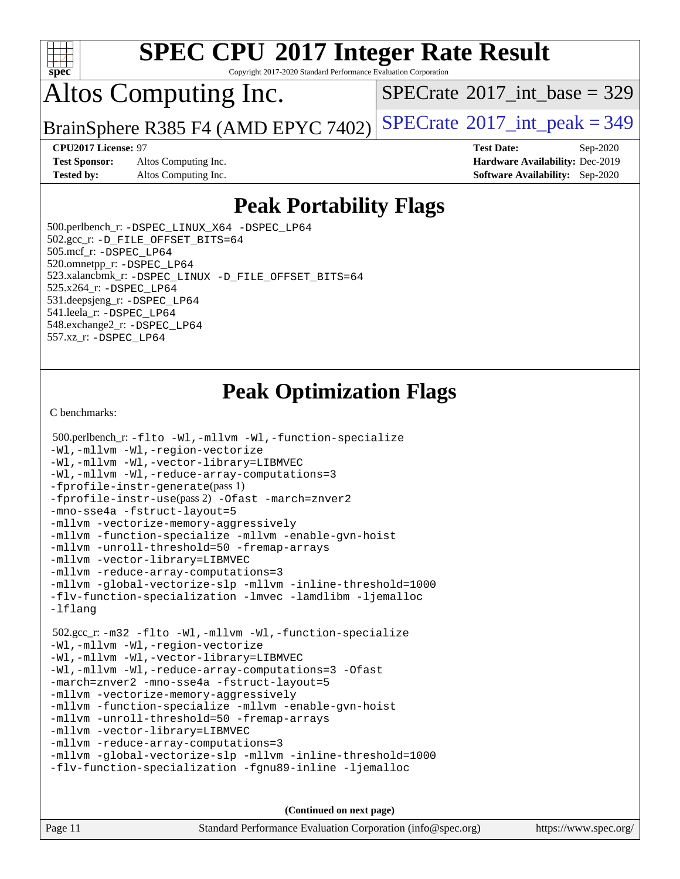

Copyright 2017-2020 Standard Performance Evaluation Corporation

## Altos Computing Inc.

 $SPECTate@2017_int\_base = 329$ 

BrainSphere R385 F4 (AMD EPYC 7402) [SPECrate](http://www.spec.org/auto/cpu2017/Docs/result-fields.html#SPECrate2017intpeak)<sup>®</sup>[2017\\_int\\_peak = 3](http://www.spec.org/auto/cpu2017/Docs/result-fields.html#SPECrate2017intpeak)49

**[Test Sponsor:](http://www.spec.org/auto/cpu2017/Docs/result-fields.html#TestSponsor)** Altos Computing Inc. **[Hardware Availability:](http://www.spec.org/auto/cpu2017/Docs/result-fields.html#HardwareAvailability)** Dec-2019 **[Tested by:](http://www.spec.org/auto/cpu2017/Docs/result-fields.html#Testedby)** Altos Computing Inc. **[Software Availability:](http://www.spec.org/auto/cpu2017/Docs/result-fields.html#SoftwareAvailability)** Sep-2020

**[CPU2017 License:](http://www.spec.org/auto/cpu2017/Docs/result-fields.html#CPU2017License)** 97 **[Test Date:](http://www.spec.org/auto/cpu2017/Docs/result-fields.html#TestDate)** Sep-2020

## **[Peak Portability Flags](http://www.spec.org/auto/cpu2017/Docs/result-fields.html#PeakPortabilityFlags)**

 500.perlbench\_r: [-DSPEC\\_LINUX\\_X64](http://www.spec.org/cpu2017/results/res2020q4/cpu2017-20200918-24011.flags.html#b500.perlbench_r_peakPORTABILITY_DSPEC_LINUX_X64) [-DSPEC\\_LP64](http://www.spec.org/cpu2017/results/res2020q4/cpu2017-20200918-24011.flags.html#b500.perlbench_r_peakEXTRA_PORTABILITY_DSPEC_LP64) 502.gcc\_r: [-D\\_FILE\\_OFFSET\\_BITS=64](http://www.spec.org/cpu2017/results/res2020q4/cpu2017-20200918-24011.flags.html#user_peakEXTRA_PORTABILITY502_gcc_r_F-D_FILE_OFFSET_BITS_5ae949a99b284ddf4e95728d47cb0843d81b2eb0e18bdfe74bbf0f61d0b064f4bda2f10ea5eb90e1dcab0e84dbc592acfc5018bc955c18609f94ddb8d550002c) 505.mcf\_r: [-DSPEC\\_LP64](http://www.spec.org/cpu2017/results/res2020q4/cpu2017-20200918-24011.flags.html#suite_peakEXTRA_PORTABILITY505_mcf_r_DSPEC_LP64) 520.omnetpp\_r: [-DSPEC\\_LP64](http://www.spec.org/cpu2017/results/res2020q4/cpu2017-20200918-24011.flags.html#suite_peakEXTRA_PORTABILITY520_omnetpp_r_DSPEC_LP64) 523.xalancbmk\_r: [-DSPEC\\_LINUX](http://www.spec.org/cpu2017/results/res2020q4/cpu2017-20200918-24011.flags.html#b523.xalancbmk_r_peakPORTABILITY_DSPEC_LINUX) [-D\\_FILE\\_OFFSET\\_BITS=64](http://www.spec.org/cpu2017/results/res2020q4/cpu2017-20200918-24011.flags.html#user_peakEXTRA_PORTABILITY523_xalancbmk_r_F-D_FILE_OFFSET_BITS_5ae949a99b284ddf4e95728d47cb0843d81b2eb0e18bdfe74bbf0f61d0b064f4bda2f10ea5eb90e1dcab0e84dbc592acfc5018bc955c18609f94ddb8d550002c) 525.x264\_r: [-DSPEC\\_LP64](http://www.spec.org/cpu2017/results/res2020q4/cpu2017-20200918-24011.flags.html#suite_peakEXTRA_PORTABILITY525_x264_r_DSPEC_LP64) 531.deepsjeng\_r: [-DSPEC\\_LP64](http://www.spec.org/cpu2017/results/res2020q4/cpu2017-20200918-24011.flags.html#suite_peakEXTRA_PORTABILITY531_deepsjeng_r_DSPEC_LP64) 541.leela\_r: [-DSPEC\\_LP64](http://www.spec.org/cpu2017/results/res2020q4/cpu2017-20200918-24011.flags.html#suite_peakEXTRA_PORTABILITY541_leela_r_DSPEC_LP64) 548.exchange2\_r: [-DSPEC\\_LP64](http://www.spec.org/cpu2017/results/res2020q4/cpu2017-20200918-24011.flags.html#suite_peakEXTRA_PORTABILITY548_exchange2_r_DSPEC_LP64) 557.xz\_r: [-DSPEC\\_LP64](http://www.spec.org/cpu2017/results/res2020q4/cpu2017-20200918-24011.flags.html#suite_peakEXTRA_PORTABILITY557_xz_r_DSPEC_LP64)

## **[Peak Optimization Flags](http://www.spec.org/auto/cpu2017/Docs/result-fields.html#PeakOptimizationFlags)**

[C benchmarks](http://www.spec.org/auto/cpu2017/Docs/result-fields.html#Cbenchmarks):

```
 500.perlbench_r: -flto -Wl,-mllvm -Wl,-function-specialize
-Wl,-mllvm -Wl,-region-vectorize
-Wl,-mllvm -Wl,-vector-library=LIBMVEC
-Wl,-mllvm -Wl,-reduce-array-computations=3
-fprofile-instr-generate(pass 1)
-fprofile-instr-use(pass 2) -Ofast -march=znver2
-mno-sse4a -fstruct-layout=5
-mllvm -vectorize-memory-aggressively
-mllvm -function-specialize -mllvm -enable-gvn-hoist
-mllvm -unroll-threshold=50 -fremap-arrays
-mllvm -vector-library=LIBMVEC
-mllvm -reduce-array-computations=3
-mllvm -global-vectorize-slp -mllvm -inline-threshold=1000
-flv-function-specialization -lmvec -lamdlibm -ljemalloc
-lflang
 502.gcc_r: -m32 -flto -Wl,-mllvm -Wl,-function-specialize
-Wl,-mllvm -Wl,-region-vectorize
-Wl,-mllvm -Wl,-vector-library=LIBMVEC
-Wl,-mllvm -Wl,-reduce-array-computations=3 -Ofast
-march=znver2 -mno-sse4a -fstruct-layout=5
-mllvm -vectorize-memory-aggressively
-mllvm -function-specialize -mllvm -enable-gvn-hoist
-mllvm -unroll-threshold=50 -fremap-arrays
-mllvm -vector-library=LIBMVEC
-mllvm -reduce-array-computations=3
-mllvm -global-vectorize-slp -mllvm -inline-threshold=1000
-flv-function-specialization -fgnu89-inline -ljemalloc
```
**(Continued on next page)**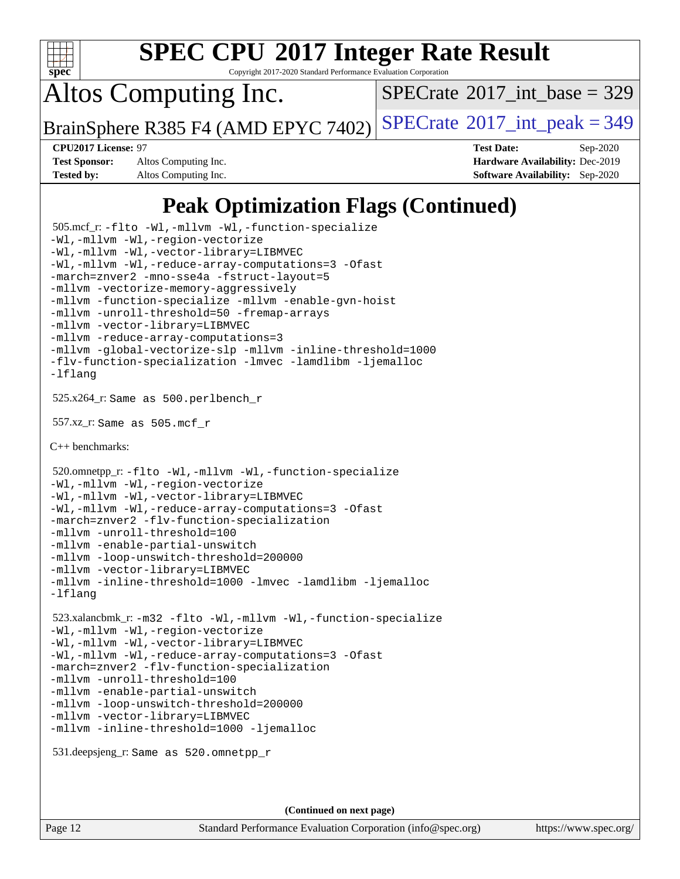

Copyright 2017-2020 Standard Performance Evaluation Corporation

Altos Computing Inc.

 $SPECTate$ <sup>®</sup>[2017\\_int\\_base =](http://www.spec.org/auto/cpu2017/Docs/result-fields.html#SPECrate2017intbase) 329

BrainSphere R385 F4 (AMD EPYC 7402) [SPECrate](http://www.spec.org/auto/cpu2017/Docs/result-fields.html#SPECrate2017intpeak)<sup>®</sup>[2017\\_int\\_peak = 3](http://www.spec.org/auto/cpu2017/Docs/result-fields.html#SPECrate2017intpeak)49

**[Test Sponsor:](http://www.spec.org/auto/cpu2017/Docs/result-fields.html#TestSponsor)** Altos Computing Inc. **[Hardware Availability:](http://www.spec.org/auto/cpu2017/Docs/result-fields.html#HardwareAvailability)** Dec-2019 **[Tested by:](http://www.spec.org/auto/cpu2017/Docs/result-fields.html#Testedby)** Altos Computing Inc. **[Software Availability:](http://www.spec.org/auto/cpu2017/Docs/result-fields.html#SoftwareAvailability)** Sep-2020

**[CPU2017 License:](http://www.spec.org/auto/cpu2017/Docs/result-fields.html#CPU2017License)** 97 **[Test Date:](http://www.spec.org/auto/cpu2017/Docs/result-fields.html#TestDate)** Sep-2020

## **[Peak Optimization Flags \(Continued\)](http://www.spec.org/auto/cpu2017/Docs/result-fields.html#PeakOptimizationFlags)**

```
 505.mcf_r: -flto -Wl,-mllvm -Wl,-function-specialize
-Wl,-mllvm -Wl,-region-vectorize
-Wl,-mllvm -Wl,-vector-library=LIBMVEC
-Wl,-mllvm -Wl,-reduce-array-computations=3 -Ofast
-march=znver2 -mno-sse4a -fstruct-layout=5
-mllvm -vectorize-memory-aggressively
-mllvm -function-specialize -mllvm -enable-gvn-hoist
-mllvm -unroll-threshold=50 -fremap-arrays
-mllvm -vector-library=LIBMVEC
-mllvm -reduce-array-computations=3
-mllvm -global-vectorize-slp -mllvm -inline-threshold=1000
-flv-function-specialization -lmvec -lamdlibm -ljemalloc
-lflang
 525.x264_r: Same as 500.perlbench_r
 557.xz_r: Same as 505.mcf_r
C++ benchmarks: 
 520.omnetpp_r: -flto -Wl,-mllvm -Wl,-function-specialize
-Wl,-mllvm -Wl,-region-vectorize
-Wl,-mllvm -Wl,-vector-library=LIBMVEC
-Wl,-mllvm -Wl,-reduce-array-computations=3 -Ofast
-march=znver2 -flv-function-specialization
-mllvm -unroll-threshold=100
-mllvm -enable-partial-unswitch
-mllvm -loop-unswitch-threshold=200000
-mllvm -vector-library=LIBMVEC
-mllvm -inline-threshold=1000 -lmvec -lamdlibm -ljemalloc
-lflang
 523.xalancbmk_r: -m32 -flto -Wl,-mllvm -Wl,-function-specialize
-Wl,-mllvm -Wl,-region-vectorize
-Wl,-mllvm -Wl,-vector-library=LIBMVEC
-Wl,-mllvm -Wl,-reduce-array-computations=3 -Ofast
-march=znver2 -flv-function-specialization
-mllvm -unroll-threshold=100
-mllvm -enable-partial-unswitch
-mllvm -loop-unswitch-threshold=200000
-mllvm -vector-library=LIBMVEC
-mllvm -inline-threshold=1000 -ljemalloc
 531.deepsjeng_r: Same as 520.omnetpp_r
```
**(Continued on next page)**